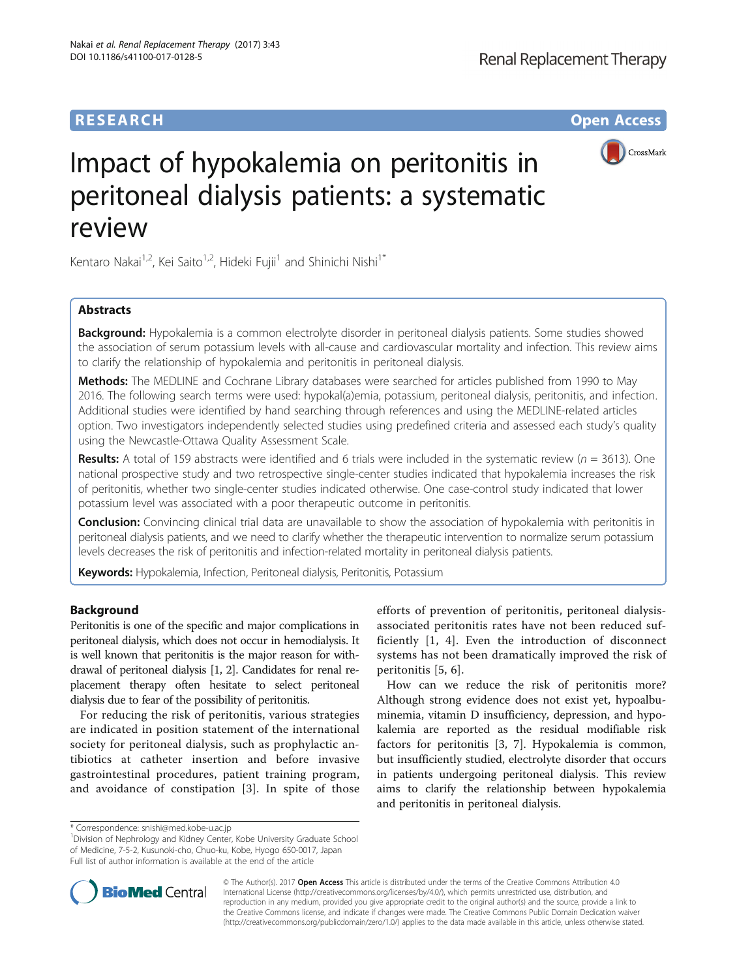# **RESEARCH CHE Open Access**



# Impact of hypokalemia on peritonitis in peritoneal dialysis patients: a systematic review

Kentaro Nakai<sup>1,2</sup>, Kei Saito<sup>1,2</sup>, Hideki Fujii<sup>1</sup> and Shinichi Nishi<sup>1\*</sup>

# **Abstracts**

Background: Hypokalemia is a common electrolyte disorder in peritoneal dialysis patients. Some studies showed the association of serum potassium levels with all-cause and cardiovascular mortality and infection. This review aims to clarify the relationship of hypokalemia and peritonitis in peritoneal dialysis.

Methods: The MEDLINE and Cochrane Library databases were searched for articles published from 1990 to May 2016. The following search terms were used: hypokal(a)emia, potassium, peritoneal dialysis, peritonitis, and infection. Additional studies were identified by hand searching through references and using the MEDLINE-related articles option. Two investigators independently selected studies using predefined criteria and assessed each study's quality using the Newcastle-Ottawa Quality Assessment Scale.

**Results:** A total of 159 abstracts were identified and 6 trials were included in the systematic review ( $n = 3613$ ). One national prospective study and two retrospective single-center studies indicated that hypokalemia increases the risk of peritonitis, whether two single-center studies indicated otherwise. One case-control study indicated that lower potassium level was associated with a poor therapeutic outcome in peritonitis.

**Conclusion:** Convincing clinical trial data are unavailable to show the association of hypokalemia with peritonitis in peritoneal dialysis patients, and we need to clarify whether the therapeutic intervention to normalize serum potassium levels decreases the risk of peritonitis and infection-related mortality in peritoneal dialysis patients.

Keywords: Hypokalemia, Infection, Peritoneal dialysis, Peritonitis, Potassium

# Background

Peritonitis is one of the specific and major complications in peritoneal dialysis, which does not occur in hemodialysis. It is well known that peritonitis is the major reason for withdrawal of peritoneal dialysis [\[1, 2\]](#page-4-0). Candidates for renal replacement therapy often hesitate to select peritoneal dialysis due to fear of the possibility of peritonitis.

For reducing the risk of peritonitis, various strategies are indicated in position statement of the international society for peritoneal dialysis, such as prophylactic antibiotics at catheter insertion and before invasive gastrointestinal procedures, patient training program, and avoidance of constipation [[3\]](#page-4-0). In spite of those

efforts of prevention of peritonitis, peritoneal dialysisassociated peritonitis rates have not been reduced sufficiently [\[1](#page-4-0), [4](#page-4-0)]. Even the introduction of disconnect systems has not been dramatically improved the risk of peritonitis [\[5](#page-4-0), [6\]](#page-4-0).

How can we reduce the risk of peritonitis more? Although strong evidence does not exist yet, hypoalbuminemia, vitamin D insufficiency, depression, and hypokalemia are reported as the residual modifiable risk factors for peritonitis [\[3](#page-4-0), [7](#page-4-0)]. Hypokalemia is common, but insufficiently studied, electrolyte disorder that occurs in patients undergoing peritoneal dialysis. This review aims to clarify the relationship between hypokalemia and peritonitis in peritoneal dialysis.

<sup>&</sup>lt;sup>1</sup> Division of Nephrology and Kidney Center, Kobe University Graduate School of Medicine, 7-5-2, Kusunoki-cho, Chuo-ku, Kobe, Hyogo 650-0017, Japan Full list of author information is available at the end of the article



© The Author(s). 2017 **Open Access** This article is distributed under the terms of the Creative Commons Attribution 4.0 International License [\(http://creativecommons.org/licenses/by/4.0/](http://creativecommons.org/licenses/by/4.0/)), which permits unrestricted use, distribution, and reproduction in any medium, provided you give appropriate credit to the original author(s) and the source, provide a link to the Creative Commons license, and indicate if changes were made. The Creative Commons Public Domain Dedication waiver [\(http://creativecommons.org/publicdomain/zero/1.0/](http://creativecommons.org/publicdomain/zero/1.0/)) applies to the data made available in this article, unless otherwise stated.

<sup>\*</sup> Correspondence: [snishi@med.kobe-u.ac.jp](mailto:snishi@med.kobe-u.ac.jp) <sup>1</sup>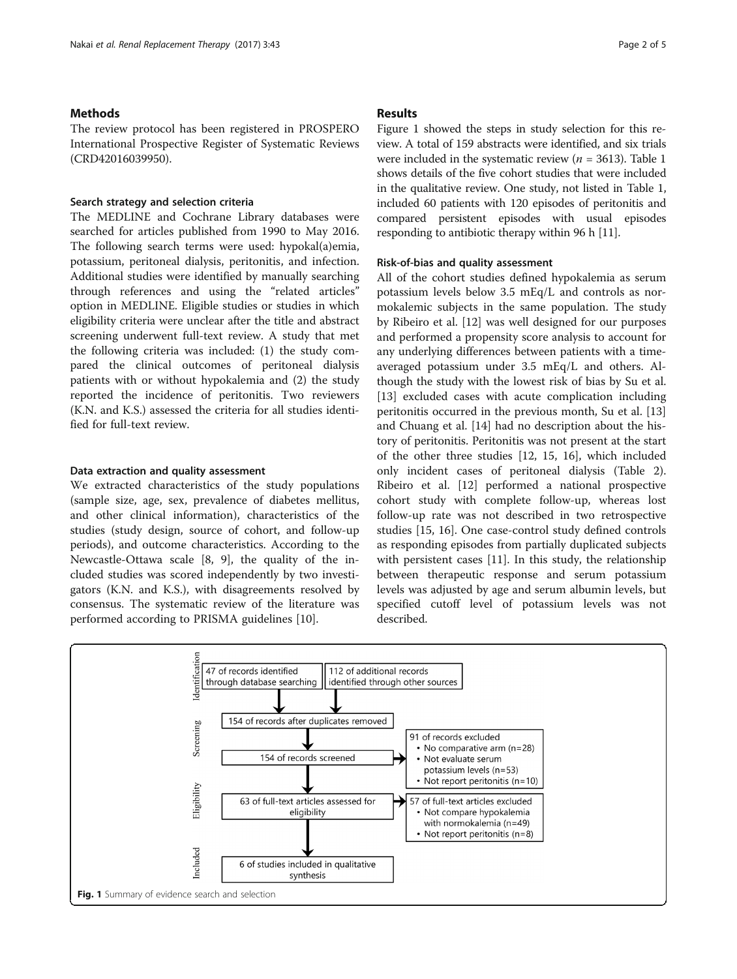## Methods

The review protocol has been registered in PROSPERO International Prospective Register of Systematic Reviews (CRD42016039950).

#### Search strategy and selection criteria

The MEDLINE and Cochrane Library databases were searched for articles published from 1990 to May 2016. The following search terms were used: hypokal(a)emia, potassium, peritoneal dialysis, peritonitis, and infection. Additional studies were identified by manually searching through references and using the "related articles" option in MEDLINE. Eligible studies or studies in which eligibility criteria were unclear after the title and abstract screening underwent full-text review. A study that met the following criteria was included: (1) the study compared the clinical outcomes of peritoneal dialysis patients with or without hypokalemia and (2) the study reported the incidence of peritonitis. Two reviewers (K.N. and K.S.) assessed the criteria for all studies identified for full-text review.

#### Data extraction and quality assessment

We extracted characteristics of the study populations (sample size, age, sex, prevalence of diabetes mellitus, and other clinical information), characteristics of the studies (study design, source of cohort, and follow-up periods), and outcome characteristics. According to the Newcastle-Ottawa scale [[8, 9\]](#page-4-0), the quality of the included studies was scored independently by two investigators (K.N. and K.S.), with disagreements resolved by consensus. The systematic review of the literature was performed according to PRISMA guidelines [\[10](#page-4-0)].

### Results

Figure 1 showed the steps in study selection for this review. A total of 159 abstracts were identified, and six trials were included in the systematic review ( $n = 3613$ ). Table [1](#page-2-0) shows details of the five cohort studies that were included in the qualitative review. One study, not listed in Table [1](#page-2-0), included 60 patients with 120 episodes of peritonitis and compared persistent episodes with usual episodes responding to antibiotic therapy within 96 h [[11](#page-4-0)].

#### Risk-of-bias and quality assessment

All of the cohort studies defined hypokalemia as serum potassium levels below 3.5 mEq/L and controls as normokalemic subjects in the same population. The study by Ribeiro et al. [[12](#page-4-0)] was well designed for our purposes and performed a propensity score analysis to account for any underlying differences between patients with a timeaveraged potassium under 3.5 mEq/L and others. Although the study with the lowest risk of bias by Su et al. [[13\]](#page-4-0) excluded cases with acute complication including peritonitis occurred in the previous month, Su et al. [[13](#page-4-0)] and Chuang et al. [\[14\]](#page-4-0) had no description about the history of peritonitis. Peritonitis was not present at the start of the other three studies [\[12, 15](#page-4-0), [16\]](#page-4-0), which included only incident cases of peritoneal dialysis (Table [2](#page-2-0)). Ribeiro et al. [\[12](#page-4-0)] performed a national prospective cohort study with complete follow-up, whereas lost follow-up rate was not described in two retrospective studies [\[15](#page-4-0), [16](#page-4-0)]. One case-control study defined controls as responding episodes from partially duplicated subjects with persistent cases [[11\]](#page-4-0). In this study, the relationship between therapeutic response and serum potassium levels was adjusted by age and serum albumin levels, but specified cutoff level of potassium levels was not described.

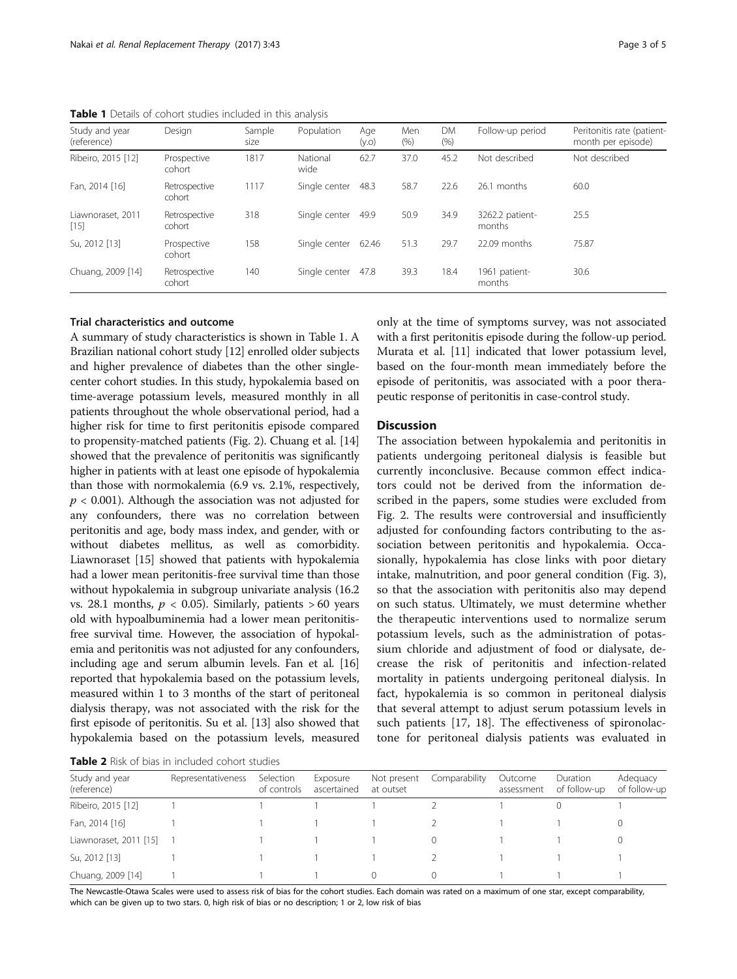<span id="page-2-0"></span>

| Study and year<br>(reference) | Design                  | Sample<br>size | Population       | Age<br>(y.o) | Men<br>(% ) | <b>DM</b><br>(% ) | Follow-up period          | Peritonitis rate (patient-<br>month per episode) |
|-------------------------------|-------------------------|----------------|------------------|--------------|-------------|-------------------|---------------------------|--------------------------------------------------|
| Ribeiro, 2015 [12]            | Prospective<br>cohort   | 1817           | National<br>wide | 62.7         | 37.0        | 45.2              | Not described             | Not described                                    |
| Fan. 2014 [16]                | Retrospective<br>cohort | 1117           | Single center    | 48.3         | 58.7        | 22.6              | 26.1 months               | 60.0                                             |
| Liawnoraset, 2011<br>$[15]$   | Retrospective<br>cohort | 318            | Single center    | 49.9         | 50.9        | 34.9              | 3262.2 patient-<br>months | 25.5                                             |
| Su, 2012 [13]                 | Prospective<br>cohort   | 158            | Single center    | 62.46        | 51.3        | 29.7              | 22.09 months              | 75.87                                            |
| Chuang, 2009 [14]             | Retrospective<br>cohort | 140            | Single center    | 47.8         | 39.3        | 18.4              | 1961 patient-<br>months   | 30.6                                             |

## Trial characteristics and outcome

A summary of study characteristics is shown in Table 1. A Brazilian national cohort study [\[12\]](#page-4-0) enrolled older subjects and higher prevalence of diabetes than the other singlecenter cohort studies. In this study, hypokalemia based on time-average potassium levels, measured monthly in all patients throughout the whole observational period, had a higher risk for time to first peritonitis episode compared to propensity-matched patients (Fig. [2](#page-3-0)). Chuang et al. [[14](#page-4-0)] showed that the prevalence of peritonitis was significantly higher in patients with at least one episode of hypokalemia than those with normokalemia (6.9 vs. 2.1%, respectively,  $p < 0.001$ ). Although the association was not adjusted for any confounders, there was no correlation between peritonitis and age, body mass index, and gender, with or without diabetes mellitus, as well as comorbidity. Liawnoraset [\[15\]](#page-4-0) showed that patients with hypokalemia had a lower mean peritonitis-free survival time than those without hypokalemia in subgroup univariate analysis (16.2 vs. 28.1 months,  $p < 0.05$ ). Similarly, patients > 60 years old with hypoalbuminemia had a lower mean peritonitisfree survival time. However, the association of hypokalemia and peritonitis was not adjusted for any confounders, including age and serum albumin levels. Fan et al. [[16](#page-4-0)] reported that hypokalemia based on the potassium levels, measured within 1 to 3 months of the start of peritoneal dialysis therapy, was not associated with the risk for the first episode of peritonitis. Su et al. [\[13\]](#page-4-0) also showed that hypokalemia based on the potassium levels, measured

only at the time of symptoms survey, was not associated with a first peritonitis episode during the follow-up period. Murata et al. [\[11](#page-4-0)] indicated that lower potassium level, based on the four-month mean immediately before the episode of peritonitis, was associated with a poor therapeutic response of peritonitis in case-control study.

# **Discussion**

The association between hypokalemia and peritonitis in patients undergoing peritoneal dialysis is feasible but currently inconclusive. Because common effect indicators could not be derived from the information described in the papers, some studies were excluded from Fig. [2](#page-3-0). The results were controversial and insufficiently adjusted for confounding factors contributing to the association between peritonitis and hypokalemia. Occasionally, hypokalemia has close links with poor dietary intake, malnutrition, and poor general condition (Fig. [3](#page-3-0)), so that the association with peritonitis also may depend on such status. Ultimately, we must determine whether the therapeutic interventions used to normalize serum potassium levels, such as the administration of potassium chloride and adjustment of food or dialysate, decrease the risk of peritonitis and infection-related mortality in patients undergoing peritoneal dialysis. In fact, hypokalemia is so common in peritoneal dialysis that several attempt to adjust serum potassium levels in such patients [[17, 18](#page-4-0)]. The effectiveness of spironolactone for peritoneal dialysis patients was evaluated in

Table 2 Risk of bias in included cohort studies

| Study and year<br>(reference) | Representativeness | Selection<br>of controls | Exposure<br>ascertained | Not present<br>at outset | Comparability | Outcome<br>assessment | Duration<br>of follow-up | Adequacy<br>of follow-up |  |  |  |  |
|-------------------------------|--------------------|--------------------------|-------------------------|--------------------------|---------------|-----------------------|--------------------------|--------------------------|--|--|--|--|
| Ribeiro, 2015 [12]            |                    |                          |                         |                          |               |                       |                          |                          |  |  |  |  |
| Fan, 2014 [16]                |                    |                          |                         |                          |               |                       |                          |                          |  |  |  |  |
| Liawnoraset, 2011 [15]        |                    |                          |                         |                          |               |                       |                          |                          |  |  |  |  |
| Su, 2012 [13]                 |                    |                          |                         |                          |               |                       |                          |                          |  |  |  |  |
| Chuang, 2009 [14]             |                    |                          |                         |                          |               |                       |                          |                          |  |  |  |  |

The Newcastle-Otawa Scales were used to assess risk of bias for the cohort studies. Each domain was rated on a maximum of one star, except comparability, which can be given up to two stars. 0, high risk of bias or no description; 1 or 2, low risk of bias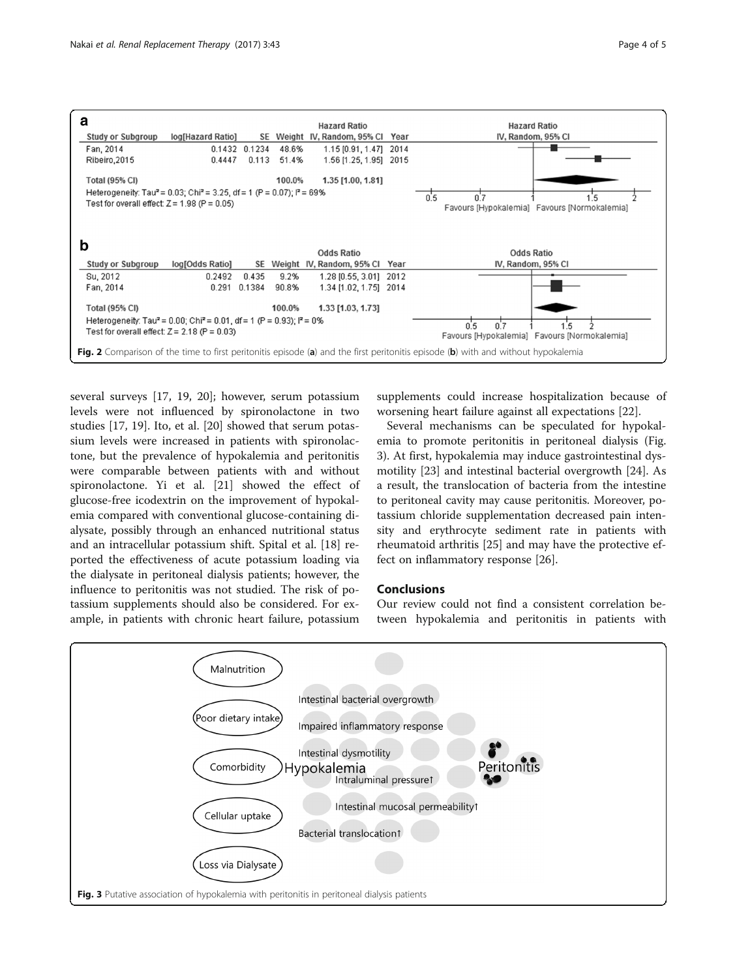<span id="page-3-0"></span>

several surveys [[17](#page-4-0), [19, 20](#page-4-0)]; however, serum potassium levels were not influenced by spironolactone in two studies [\[17](#page-4-0), [19](#page-4-0)]. Ito, et al. [\[20](#page-4-0)] showed that serum potassium levels were increased in patients with spironolactone, but the prevalence of hypokalemia and peritonitis were comparable between patients with and without spironolactone. Yi et al. [[21\]](#page-4-0) showed the effect of glucose-free icodextrin on the improvement of hypokalemia compared with conventional glucose-containing dialysate, possibly through an enhanced nutritional status and an intracellular potassium shift. Spital et al. [\[18](#page-4-0)] reported the effectiveness of acute potassium loading via the dialysate in peritoneal dialysis patients; however, the influence to peritonitis was not studied. The risk of potassium supplements should also be considered. For example, in patients with chronic heart failure, potassium

supplements could increase hospitalization because of worsening heart failure against all expectations [\[22\]](#page-4-0).

Several mechanisms can be speculated for hypokalemia to promote peritonitis in peritoneal dialysis (Fig. 3). At first, hypokalemia may induce gastrointestinal dysmotility [[23\]](#page-4-0) and intestinal bacterial overgrowth [\[24](#page-4-0)]. As a result, the translocation of bacteria from the intestine to peritoneal cavity may cause peritonitis. Moreover, potassium chloride supplementation decreased pain intensity and erythrocyte sediment rate in patients with rheumatoid arthritis [\[25](#page-4-0)] and may have the protective effect on inflammatory response [[26\]](#page-4-0).

# Conclusions

Our review could not find a consistent correlation between hypokalemia and peritonitis in patients with